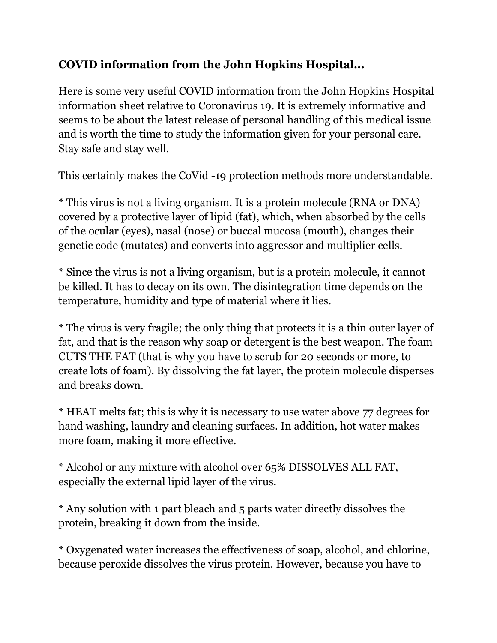## **COVID information from the John Hopkins Hospital...**

Here is some very useful COVID information from the John Hopkins Hospital information sheet relative to Coronavirus 19. It is extremely informative and seems to be about the latest release of personal handling of this medical issue and is worth the time to study the information given for your personal care. Stay safe and stay well.

This certainly makes the CoVid -19 protection methods more understandable.

\* This virus is not a living organism. It is a protein molecule (RNA or DNA) covered by a protective layer of lipid (fat), which, when absorbed by the cells of the ocular (eyes), nasal (nose) or buccal mucosa (mouth), changes their genetic code (mutates) and converts into aggressor and multiplier cells.

\* Since the virus is not a living organism, but is a protein molecule, it cannot be killed. It has to decay on its own. The disintegration time depends on the temperature, humidity and type of material where it lies.

\* The virus is very fragile; the only thing that protects it is a thin outer layer of fat, and that is the reason why soap or detergent is the best weapon. The foam CUTS THE FAT (that is why you have to scrub for 20 seconds or more, to create lots of foam). By dissolving the fat layer, the protein molecule disperses and breaks down.

\* HEAT melts fat; this is why it is necessary to use water above 77 degrees for hand washing, laundry and cleaning surfaces. In addition, hot water makes more foam, making it more effective.

\* Alcohol or any mixture with alcohol over 65% DISSOLVES ALL FAT, especially the external lipid layer of the virus.

\* Any solution with 1 part bleach and 5 parts water directly dissolves the protein, breaking it down from the inside.

\* Oxygenated water increases the effectiveness of soap, alcohol, and chlorine, because peroxide dissolves the virus protein. However, because you have to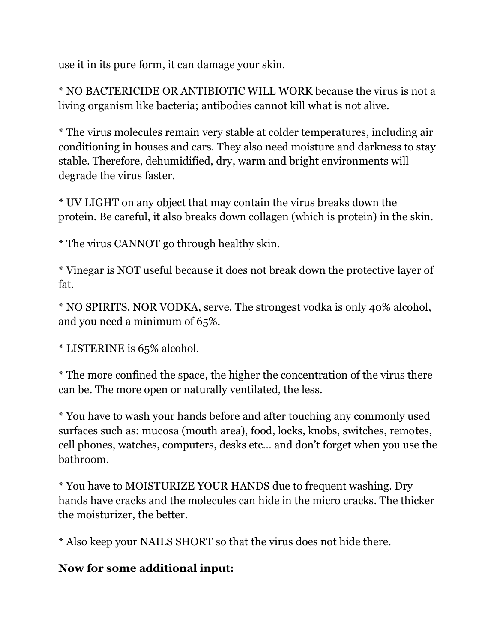use it in its pure form, it can damage your skin.

\* NO BACTERICIDE OR ANTIBIOTIC WILL WORK because the virus is not a living organism like bacteria; antibodies cannot kill what is not alive.

\* The virus molecules remain very stable at colder temperatures, including air conditioning in houses and cars. They also need moisture and darkness to stay stable. Therefore, dehumidified, dry, warm and bright environments will degrade the virus faster.

\* UV LIGHT on any object that may contain the virus breaks down the protein. Be careful, it also breaks down collagen (which is protein) in the skin.

\* The virus CANNOT go through healthy skin.

\* Vinegar is NOT useful because it does not break down the protective layer of fat.

\* NO SPIRITS, NOR VODKA, serve. The strongest vodka is only 40% alcohol, and you need a minimum of 65%.

\* LISTERINE is 65% alcohol.

\* The more confined the space, the higher the concentration of the virus there can be. The more open or naturally ventilated, the less.

\* You have to wash your hands before and after touching any commonly used surfaces such as: mucosa (mouth area), food, locks, knobs, switches, remotes, cell phones, watches, computers, desks etc… and don't forget when you use the bathroom.

\* You have to MOISTURIZE YOUR HANDS due to frequent washing. Dry hands have cracks and the molecules can hide in the micro cracks. The thicker the moisturizer, the better.

\* Also keep your NAILS SHORT so that the virus does not hide there.

## **Now for some additional input:**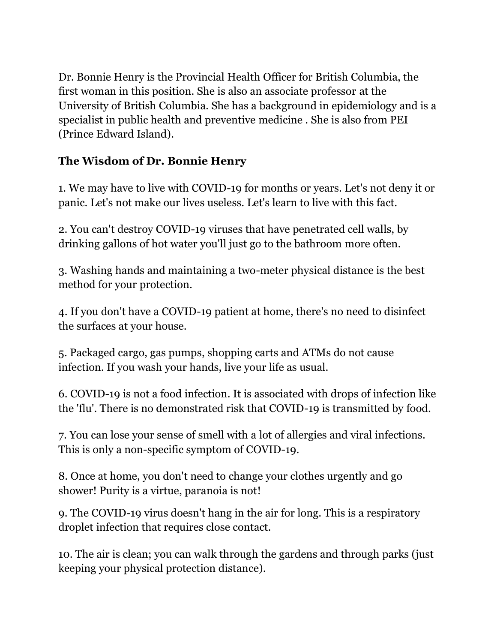Dr. Bonnie Henry is the Provincial Health Officer for British Columbia, the first woman in this position. She is also an associate professor at the University of British Columbia. She has a background in epidemiology and is a specialist in public health and preventive medicine . She is also from PEI (Prince Edward Island).

## **The Wisdom of Dr. Bonnie Henry**

1. We may have to live with COVID-19 for months or years. Let's not deny it or panic. Let's not make our lives useless. Let's learn to live with this fact.

2. You can't destroy COVID-19 viruses that have penetrated cell walls, by drinking gallons of hot water you'll just go to the bathroom more often.

3. Washing hands and maintaining a two-meter physical distance is the best method for your protection.

4. If you don't have a COVID-19 patient at home, there's no need to disinfect the surfaces at your house.

5. Packaged cargo, gas pumps, shopping carts and ATMs do not cause infection. If you wash your hands, live your life as usual.

6. COVID-19 is not a food infection. It is associated with drops of infection like the 'flu'. There is no demonstrated risk that COVID-19 is transmitted by food.

7. You can lose your sense of smell with a lot of allergies and viral infections. This is only a non-specific symptom of COVID-19.

8. Once at home, you don't need to change your clothes urgently and go shower! Purity is a virtue, paranoia is not!

9. The COVID-19 virus doesn't hang in the air for long. This is a respiratory droplet infection that requires close contact.

10. The air is clean; you can walk through the gardens and through parks (just keeping your physical protection distance).